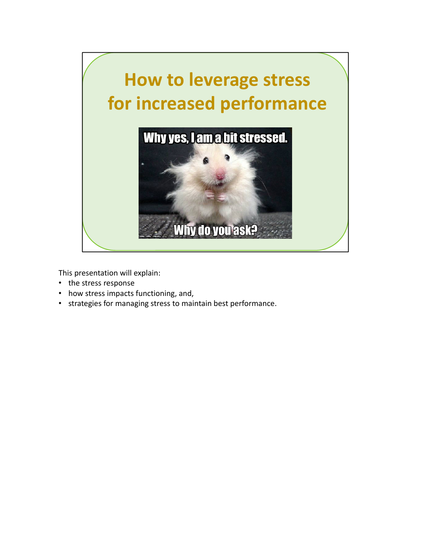

This presentation will explain:

- the stress response
- how stress impacts functioning, and,
- strategies for managing stress to maintain best performance.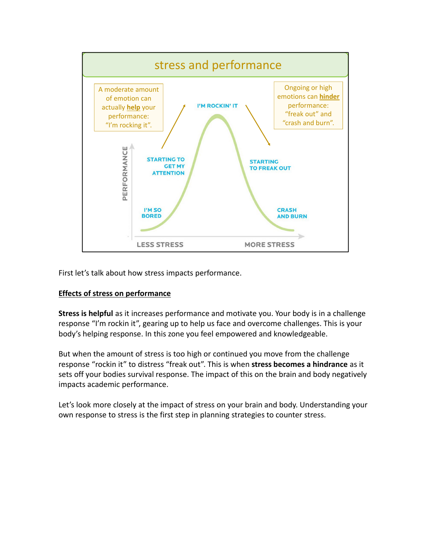

First let's talk about how stress impacts performance.

## **Effects of stress on performance**

**Stress is helpful** as it increases performance and motivate you. Your body is in a challenge response "I'm rockin it", gearing up to help us face and overcome challenges. This is your body's helping response. In this zone you feel empowered and knowledgeable.

But when the amount of stress is too high or continued you move from the challenge response "rockin it" to distress "freak out". This is when **stress becomes a hindrance** as it sets off your bodies survival response. The impact of this on the brain and body negatively impacts academic performance.

Let's look more closely at the impact of stress on your brain and body. Understanding your own response to stress is the first step in planning strategies to counter stress.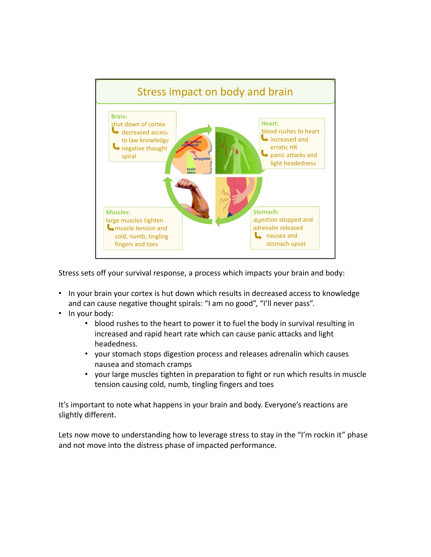

Stress sets off your survival response, a process which impacts your brain and body:

- In your brain your cortex is hut down which results in decreased access to knowledge and can cause negative thought spirals: "I am no good", "I'll never pass".
- In your body:
	- blood rushes to the heart to power it to fuel the body in survival resulting in increased and rapid heart rate which can cause panic attacks and light headedness.
	- your stomach stops digestion process and releases adrenalin which causes nausea and stomach cramps
	- your large muscles tighten in preparation to fight or run which results in muscle tension causing cold, numb, tingling fingers and toes

It's important to note what happens in your brain and body. Everyone's reactions are slightly different.

Lets now move to understanding how to leverage stress to stay in the "I'm rockin it" phase and not move into the distress phase of impacted performance.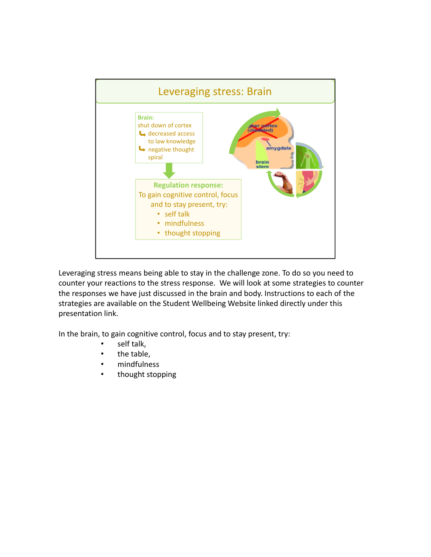

Leveraging stress means being able to stay in the challenge zone. To do so you need to counter your reactions to the stress response. We will look at some strategies to counter the responses we have just discussed in the brain and body. Instructions to each of the strategies are available on the Student Wellbeing Website linked directly under this presentation link.

In the brain, to gain cognitive control, focus and to stay present, try:

- self talk,
- the table,
- mindfulness
- thought stopping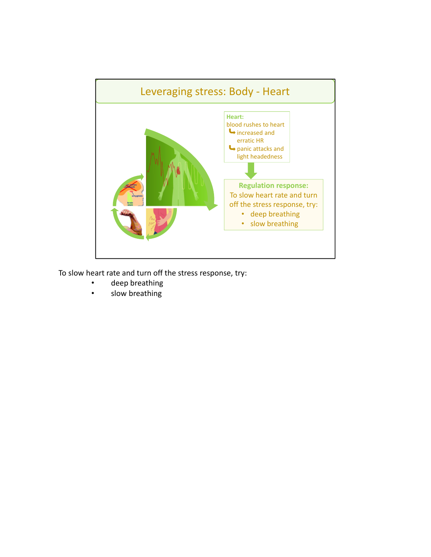

To slow heart rate and turn off the stress response, try:

- deep breathing
- slow breathing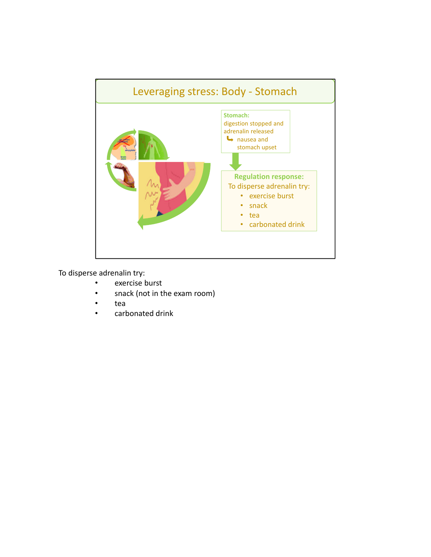

To disperse adrenalin try:

- exercise burst
- snack (not in the exam room)
- tea
- carbonated drink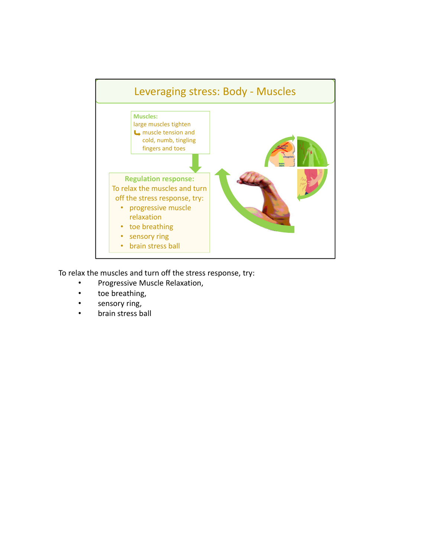

To relax the muscles and turn off the stress response, try:

- Progressive Muscle Relaxation,
- toe breathing,
- sensory ring,
- brain stress ball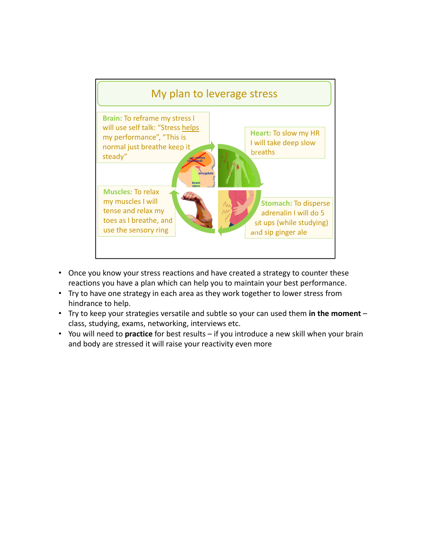

- Once you know your stress reactions and have created a strategy to counter these reactions you have a plan which can help you to maintain your best performance.
- Try to have one strategy in each area as they work together to lower stress from hindrance to help.
- Try to keep your strategies versatile and subtle so your can used them **in the moment** class, studying, exams, networking, interviews etc.
- You will need to **practice** for best results if you introduce a new skill when your brain and body are stressed it will raise your reactivity even more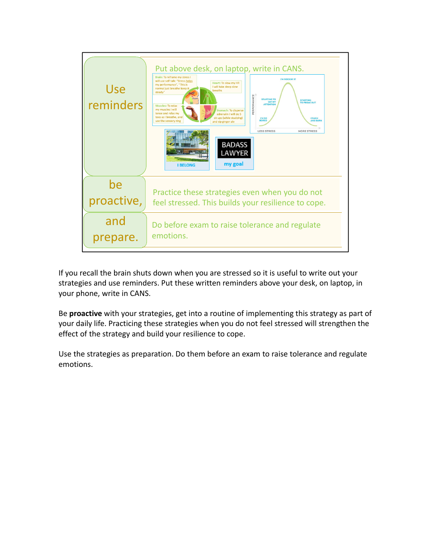

If you recall the brain shuts down when you are stressed so it is useful to write out your strategies and use reminders. Put these written reminders above your desk, on laptop, in your phone, write in CANS.

Be **proactive** with your strategies, get into a routine of implementing this strategy as part of your daily life. Practicing these strategies when you do not feel stressed will strengthen the effect of the strategy and build your resilience to cope.

Use the strategies as preparation. Do them before an exam to raise tolerance and regulate emotions.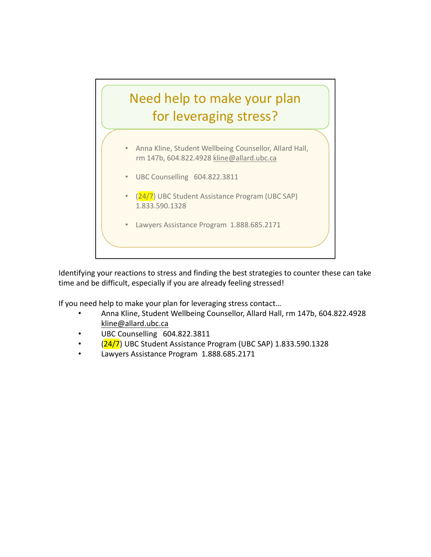

Identifying your reactions to stress and finding the best strategies to counter these can take time and be difficult, especially if you are already feeling stressed!

If you need help to make your plan for leveraging stress contact…

- Anna Kline, Student Wellbeing Counsellor, Allard Hall, rm 147b, 604.822.4928 kline@allard.ubc.ca
- UBC Counselling 604.822.3811
- (24/7) UBC Student Assistance Program (UBC SAP) 1.833.590.1328
- Lawyers Assistance Program 1.888.685.2171